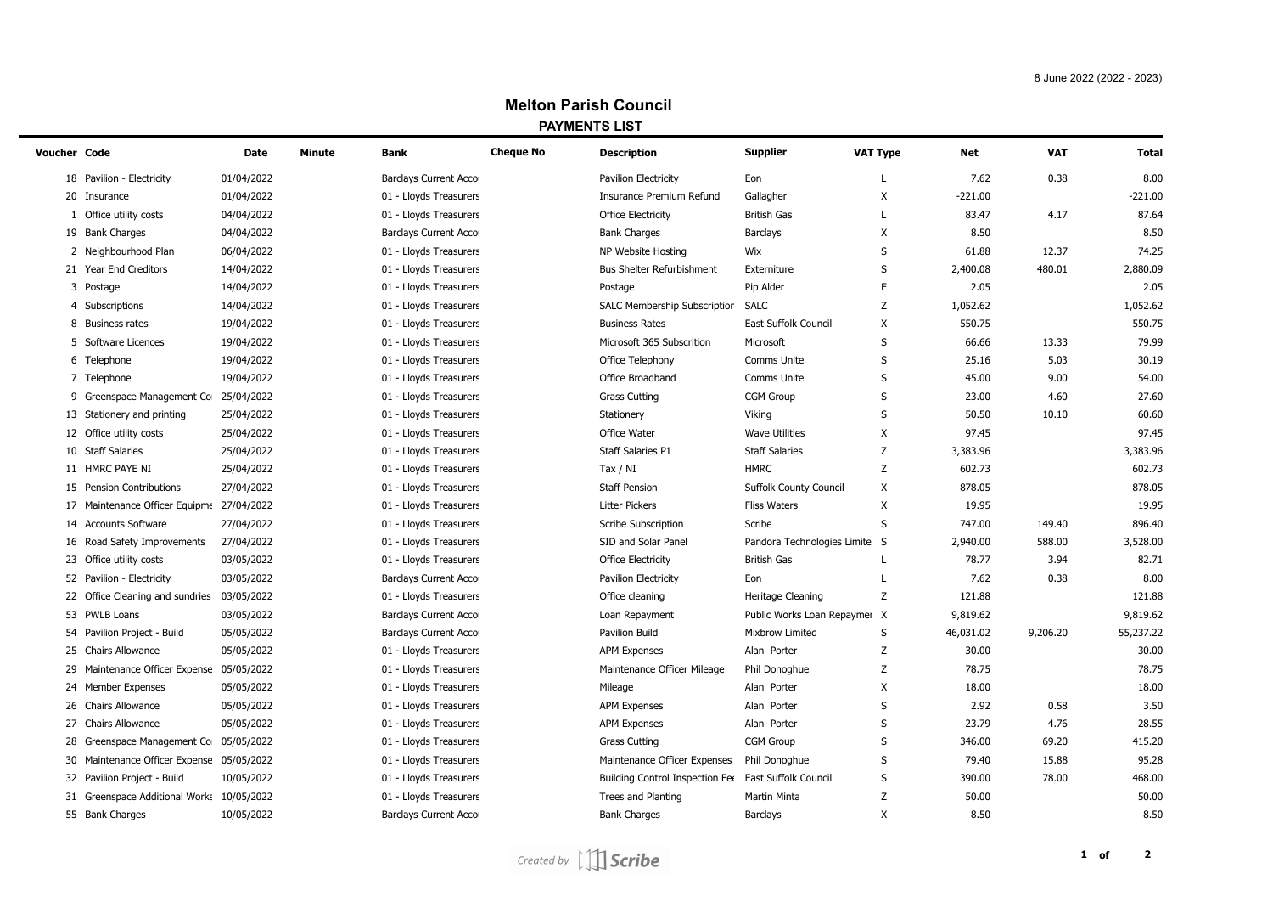## **Melton Parish Council PAYMENTS LIST**

 $\overline{\phantom{0}}$ 

| Voucher Code |                                            | Date       | Minute | Bank                         | <b>Cheque No</b> | <b>Description</b>                                   | <b>Supplier</b>               | <b>VAT Type</b>           | Net       | <b>VAT</b> | Total     |
|--------------|--------------------------------------------|------------|--------|------------------------------|------------------|------------------------------------------------------|-------------------------------|---------------------------|-----------|------------|-----------|
|              | 18 Pavilion - Electricity                  | 01/04/2022 |        | <b>Barclays Current Acco</b> |                  | <b>Pavilion Electricity</b>                          | Eon                           | L                         | 7.62      | 0.38       | 8.00      |
|              | 20 Insurance                               | 01/04/2022 |        | 01 - Lloyds Treasurers       |                  | <b>Insurance Premium Refund</b>                      | Gallagher                     | X                         | $-221.00$ |            | $-221.00$ |
|              | 1 Office utility costs                     | 04/04/2022 |        | 01 - Lloyds Treasurers       |                  | <b>Office Electricity</b>                            | <b>British Gas</b>            | L                         | 83.47     | 4.17       | 87.64     |
|              | 19 Bank Charges                            | 04/04/2022 |        | <b>Barclays Current Acco</b> |                  | <b>Bank Charges</b>                                  | <b>Barclays</b>               | Χ                         | 8.50      |            | 8.50      |
|              | 2 Neighbourhood Plan                       | 06/04/2022 |        | 01 - Lloyds Treasurers       |                  | NP Website Hosting                                   | Wix                           | S                         | 61.88     | 12.37      | 74.25     |
|              | 21 Year End Creditors                      | 14/04/2022 |        | 01 - Lloyds Treasurers       |                  | <b>Bus Shelter Refurbishment</b>                     | Externiture                   | S                         | 2,400.08  | 480.01     | 2,880.09  |
|              | 3 Postage                                  | 14/04/2022 |        | 01 - Lloyds Treasurers       |                  | Postage                                              | Pip Alder                     | E                         | 2.05      |            | 2.05      |
|              | 4 Subscriptions                            | 14/04/2022 |        | 01 - Lloyds Treasurers       |                  | SALC Membership Subscription                         | <b>SALC</b>                   | Z                         | 1,052.62  |            | 1,052.62  |
|              | 8 Business rates                           | 19/04/2022 |        | 01 - Lloyds Treasurers       |                  | <b>Business Rates</b>                                | East Suffolk Council          | X                         | 550.75    |            | 550.75    |
|              | 5 Software Licences                        | 19/04/2022 |        | 01 - Lloyds Treasurers       |                  | Microsoft 365 Subscrition                            | Microsoft                     | S                         | 66.66     | 13.33      | 79.99     |
|              | 6 Telephone                                | 19/04/2022 |        | 01 - Lloyds Treasurers       |                  | Office Telephony                                     | Comms Unite                   | S                         | 25.16     | 5.03       | 30.19     |
|              | 7 Telephone                                | 19/04/2022 |        | 01 - Lloyds Treasurers       |                  | Office Broadband                                     | Comms Unite                   | S                         | 45.00     | 9.00       | 54.00     |
|              | 9 Greenspace Management Co                 | 25/04/2022 |        | 01 - Lloyds Treasurers       |                  | <b>Grass Cutting</b>                                 | <b>CGM Group</b>              | $\sf S$                   | 23.00     | 4.60       | 27.60     |
|              | 13 Stationery and printing                 | 25/04/2022 |        | 01 - Lloyds Treasurers       |                  | Stationery                                           | Viking                        | S                         | 50.50     | 10.10      | 60.60     |
|              | 12 Office utility costs                    | 25/04/2022 |        | 01 - Lloyds Treasurers       |                  | Office Water                                         | <b>Wave Utilities</b>         | X                         | 97.45     |            | 97.45     |
|              | 10 Staff Salaries                          | 25/04/2022 |        | 01 - Lloyds Treasurers       |                  | <b>Staff Salaries P1</b>                             | <b>Staff Salaries</b>         | Z                         | 3,383.96  |            | 3,383.96  |
|              | 11 HMRC PAYE NI                            | 25/04/2022 |        | 01 - Lloyds Treasurers       |                  | Tax / $NI$                                           | <b>HMRC</b>                   | Z                         | 602.73    |            | 602.73    |
|              | 15 Pension Contributions                   | 27/04/2022 |        | 01 - Lloyds Treasurers       |                  | <b>Staff Pension</b>                                 | <b>Suffolk County Council</b> | X                         | 878.05    |            | 878.05    |
|              | 17 Maintenance Officer Equipme 27/04/2022  |            |        | 01 - Lloyds Treasurers       |                  | <b>Litter Pickers</b>                                | <b>Fliss Waters</b>           | X                         | 19.95     |            | 19.95     |
|              | 14 Accounts Software                       | 27/04/2022 |        | 01 - Lloyds Treasurers       |                  | Scribe Subscription                                  | Scribe                        | S                         | 747.00    | 149.40     | 896.40    |
|              | 16 Road Safety Improvements                | 27/04/2022 |        | 01 - Lloyds Treasurers       |                  | SID and Solar Panel                                  | Pandora Technologies Limite S |                           | 2,940.00  | 588.00     | 3,528.00  |
|              | 23 Office utility costs                    | 03/05/2022 |        | 01 - Lloyds Treasurers       |                  | <b>Office Electricity</b>                            | <b>British Gas</b>            | L                         | 78.77     | 3.94       | 82.71     |
|              | 52 Pavilion - Electricity                  | 03/05/2022 |        | <b>Barclays Current Acco</b> |                  | Pavilion Electricity                                 | Eon                           | L                         | 7.62      | 0.38       | 8.00      |
|              | 22 Office Cleaning and sundries 03/05/2022 |            |        | 01 - Lloyds Treasurers       |                  | Office cleaning                                      | Heritage Cleaning             | Z                         | 121.88    |            | 121.88    |
|              | 53 PWLB Loans                              | 03/05/2022 |        | <b>Barclays Current Acco</b> |                  | Loan Repayment                                       | Public Works Loan Repaymer X  |                           | 9,819.62  |            | 9,819.62  |
|              | 54 Pavilion Project - Build                | 05/05/2022 |        | <b>Barclays Current Acco</b> |                  | Pavilion Build                                       | Mixbrow Limited               | $\sf S$                   | 46,031.02 | 9,206.20   | 55,237.22 |
| 25           | <b>Chairs Allowance</b>                    | 05/05/2022 |        | 01 - Lloyds Treasurers       |                  | <b>APM Expenses</b>                                  | Alan Porter                   | Z                         | 30.00     |            | 30.00     |
| 29           | Maintenance Officer Expense 05/05/2022     |            |        | 01 - Lloyds Treasurers       |                  | Maintenance Officer Mileage                          | Phil Donoghue                 | Z                         | 78.75     |            | 78.75     |
|              | 24 Member Expenses                         | 05/05/2022 |        | 01 - Lloyds Treasurers       |                  | Mileage                                              | Alan Porter                   | X                         | 18.00     |            | 18.00     |
|              | 26 Chairs Allowance                        | 05/05/2022 |        | 01 - Lloyds Treasurers       |                  | <b>APM Expenses</b>                                  | Alan Porter                   | S                         | 2.92      | 0.58       | 3.50      |
|              | 27 Chairs Allowance                        | 05/05/2022 |        | 01 - Lloyds Treasurers       |                  | <b>APM Expenses</b>                                  | Alan Porter                   | S                         | 23.79     | 4.76       | 28.55     |
| 28           | Greenspace Management Co                   | 05/05/2022 |        | 01 - Lloyds Treasurers       |                  | <b>Grass Cutting</b>                                 | <b>CGM Group</b>              | $\sf S$                   | 346.00    | 69.20      | 415.20    |
|              | 30 Maintenance Officer Expense 05/05/2022  |            |        | 01 - Lloyds Treasurers       |                  | Maintenance Officer Expenses                         | Phil Donoghue                 | $\sf S$                   | 79.40     | 15.88      | 95.28     |
|              | 32 Pavilion Project - Build                | 10/05/2022 |        | 01 - Lloyds Treasurers       |                  | Building Control Inspection Fee East Suffolk Council |                               | S                         | 390.00    | 78.00      | 468.00    |
|              | 31 Greenspace Additional Works 10/05/2022  |            |        | 01 - Lloyds Treasurers       |                  | Trees and Planting                                   | Martin Minta                  | Z                         | 50.00     |            | 50.00     |
|              | 55 Bank Charges                            | 10/05/2022 |        | <b>Barclays Current Acco</b> |                  | <b>Bank Charges</b>                                  | <b>Barclays</b>               | $\boldsymbol{\mathsf{X}}$ | 8.50      |            | 8.50      |